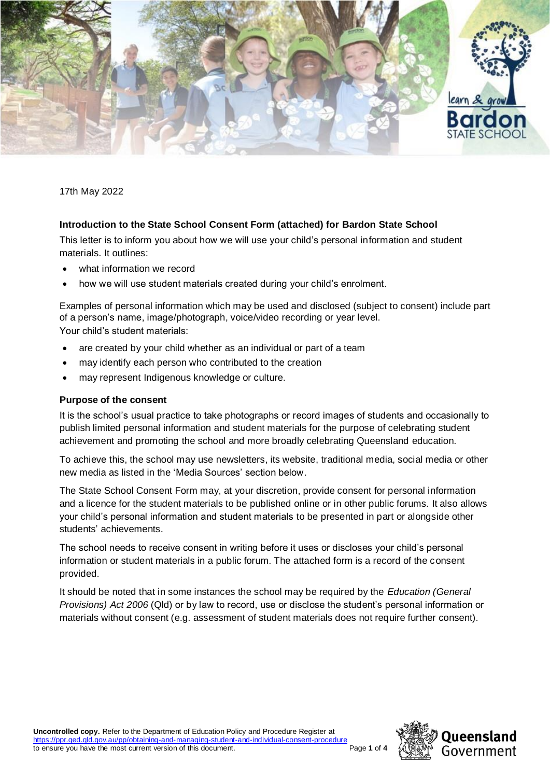

17th May 2022

# **Introduction to the State School Consent Form (attached) for Bardon State School**

This letter is to inform you about how we will use your child's personal information and student materials. It outlines:

- what information we record
- how we will use student materials created during your child's enrolment.

Examples of personal information which may be used and disclosed (subject to consent) include part of a person's name, image/photograph, voice/video recording or year level.

Your child's student materials:

- are created by your child whether as an individual or part of a team
- may identify each person who contributed to the creation
- may represent Indigenous knowledge or culture.

## **Purpose of the consent**

It is the school's usual practice to take photographs or record images of students and occasionally to publish limited personal information and student materials for the purpose of celebrating student achievement and promoting the school and more broadly celebrating Queensland education.

To achieve this, the school may use newsletters, its website, traditional media, social media or other new media as listed in the 'Media Sources' section below.

The State School Consent Form may, at your discretion, provide consent for personal information and a licence for the student materials to be published online or in other public forums. It also allows your child's personal information and student materials to be presented in part or alongside other students' achievements.

The school needs to receive consent in writing before it uses or discloses your child's personal information or student materials in a public forum. The attached form is a record of the consent provided.

It should be noted that in some instances the school may be required by the *Education (General Provisions) Act 2006* (Qld) or by law to record, use or disclose the student's personal information or materials without consent (e.g. assessment of student materials does not require further consent).

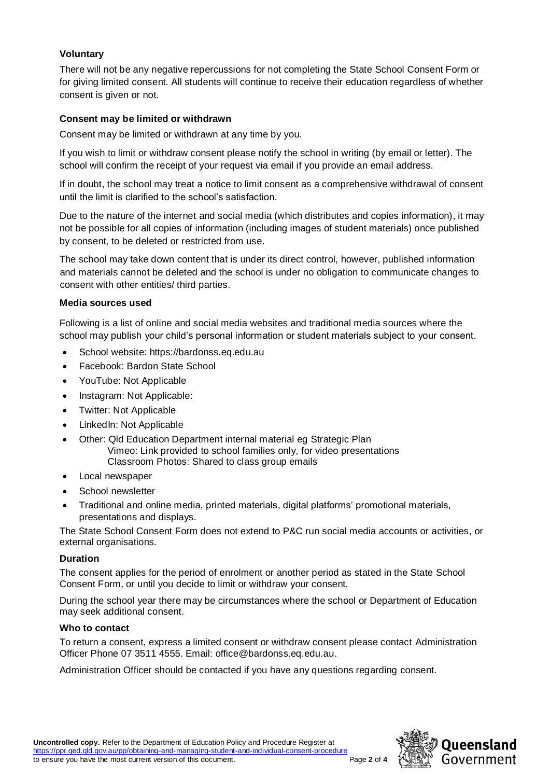# **Voluntary**

There will not be any negative repercussions for not completing the State School Consent Form or for giving limited consent. All students will continue to receive their education regardless of whether consent is given or not.

## **Consent may be limited or withdrawn**

Consent may be limited or withdrawn at any time by you.

If you wish to limit or withdraw consent please notify the school in writing (by email or letter). The school will confirm the receipt of your request via email if you provide an email address.

If in doubt, the school may treat a notice to limit consent as a comprehensive withdrawal of consent until the limit is clarified to the school's satisfaction.

Due to the nature of the internet and social media (which distributes and copies information), it may not be possible for all copies of information (including images of student materials) once published by consent, to be deleted or restricted from use.

The school may take down content that is under its direct control, however, published information and materials cannot be deleted and the school is under no obligation to communicate changes to consent with other entities/ third parties.

#### **Media sources used**

Following is a list of online and social media websites and traditional media sources where the school may publish your child's personal information or student materials subject to your consent.

- School website: https://bardonss.eq.edu.au
- Facebook: Bardon State School
- YouTube: Not Applicable
- Instagram: Not Applicable:
- Twitter: Not Applicable
- LinkedIn: Not Applicable
- Other: Qld Education Department internal material eg Strategic Plan Vimeo: Link provided to school families only, for video presentations Classroom Photos: Shared to class group emails
- Local newspaper
- School newsletter
- Traditional and online media, printed materials, digital platforms' promotional materials, presentations and displays.

The State School Consent Form does not extend to P&C run social media accounts or activities, or external organisations.

## **Duration**

The consent applies for the period of enrolment or another period as stated in the State School Consent Form, or until you decide to limit or withdraw your consent.

During the school year there may be circumstances where the school or Department of Education may seek additional consent.

## **Who to contact**

To return a consent, express a limited consent or withdraw consent please contact Administration Officer Phone 07 3511 4555. Email: office@bardonss.eq.edu.au.

Administration Officer should be contacted if you have any questions regarding consent.

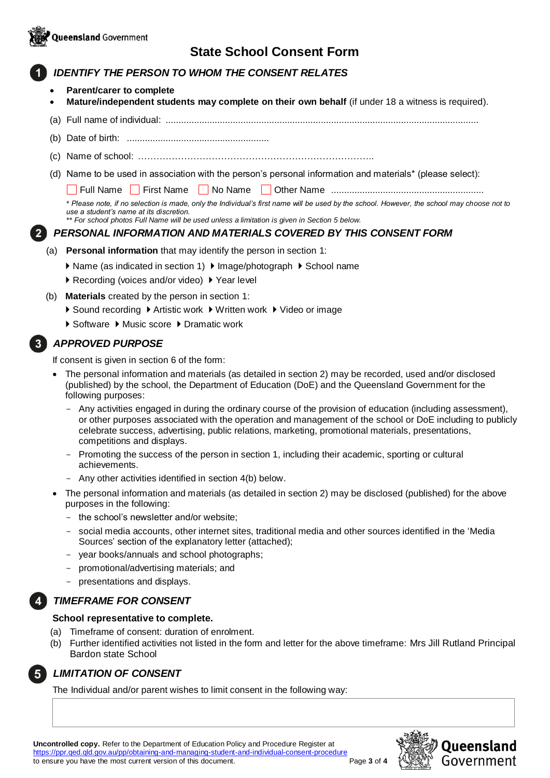

# **State School Consent Form**

# *IDENTIFY THE PERSON TO WHOM THE CONSENT RELATES*

- **Parent/carer to complete**
- **Mature/independent students may complete on their own behalf** (if under 18 a witness is required).
- (a) Full name of individual: .........................................................................................................................
- (b) Date of birth: .......................................................
- (c) Name of school: …………………………………………………………………..
- (d) Name to be used in association with the person's personal information and materials\* (please select):

Full Name First Name No Name Other Name ...........................................................

*\* Please note, if no selection is made, only the Individual's first name will be used by the school. However, the school may choose not to use a student's name at its discretion.*

*\*\* For school photos Full Name will be used unless a limitation is given in Section 5 below.*

## *PERSONAL INFORMATION AND MATERIALS COVERED BY THIS CONSENT FORM*

- (a) **Personal information** that may identify the person in section 1:
	- ▶ Name (as indicated in section 1) ▶ Image/photograph ▶ School name
	- ▶ Recording (voices and/or video) ▶ Year level
- (b) **Materials** created by the person in section 1:
	- ▶ Sound recording ▶ Artistic work ▶ Written work ▶ Video or image
	- ▶ Software ▶ Music score ▶ Dramatic work

# *APPROVED PURPOSE*

If consent is given in section 6 of the form:

- The personal information and materials (as detailed in section 2) may be recorded, used and/or disclosed (published) by the school, the Department of Education (DoE) and the Queensland Government for the following purposes:
	- Any activities engaged in during the ordinary course of the provision of education (including assessment), or other purposes associated with the operation and management of the school or DoE including to publicly celebrate success, advertising, public relations, marketing, promotional materials, presentations, competitions and displays.
	- Promoting the success of the person in section 1, including their academic, sporting or cultural achievements.
	- Any other activities identified in section 4(b) below.
- The personal information and materials (as detailed in section 2) may be disclosed (published) for the above purposes in the following:
	- the school's newsletter and/or website;
	- social media accounts, other internet sites, traditional media and other sources identified in the 'Media Sources' section of the explanatory letter (attached);
	- vear books/annuals and school photographs;
	- promotional/advertising materials; and
	- presentations and displays.

## *TIMEFRAME FOR CONSENT*

#### **School representative to complete.**

- (a) Timeframe of consent: duration of enrolment.
- (b) Further identified activities not listed in the form and letter for the above timeframe: Mrs Jill Rutland Principal Bardon state School



## *LIMITATION OF CONSENT*

The Individual and/or parent wishes to limit consent in the following way:

**Uncontrolled copy.** Refer to the Department of Education Policy and Procedure Register at <https://ppr.qed.qld.gov.au/pp/obtaining-and-managing-student-and-individual-consent-procedure> to ensure you have the most current version of this document. Page **3** of **4**